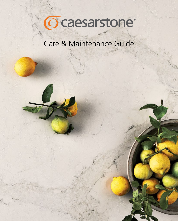

# Care & Maintenance Guide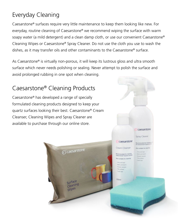## Everyday Cleaning

Caesarstone® surfaces require very little maintenance to keep them looking like new. For everyday, routine cleaning of Caesarstone® we recommend wiping the surface with warm soapy water (a mild detergent) and a clean damp cloth, or use our convenient Caesarstone® Cleaning Wipes or Caesarstone® Spray Cleaner. Do not use the cloth you use to wash the dishes, as it may transfer oils and other contaminants to the Caesarstone® surface.

As Caesarstone® is virtually non-porous, it will keep its lustrous gloss and ultra smooth surface which never needs polishing or sealing. Never attempt to polish the surface and avoid prolonged rubbing in one spot when cleaning.

## Caesarstone® Cleaning Products

Caesarstone® has developed a range of specially formulated cleaning products designed to keep your quartz surfaces looking their best. Caesarstone® Cream Cleanser, Cleaning Wipes and Spray Cleaner are available to purchase through our online store.

Gcaesarstone

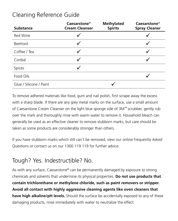#### Cleaning Reference Guide

| <b>Substance</b>        | Caesarstone <sup>®</sup><br><b>Cream Cleanser</b> | <b>Methylated</b><br><b>Spirits</b> | Caesarstone <sup>®</sup><br><b>Spray Cleaner</b> |
|-------------------------|---------------------------------------------------|-------------------------------------|--------------------------------------------------|
| Red Wine                |                                                   |                                     |                                                  |
| <b>Beetroot</b>         |                                                   |                                     |                                                  |
| Coffee / Tea            |                                                   |                                     |                                                  |
| Cordial                 |                                                   |                                     |                                                  |
| Spices                  |                                                   |                                     |                                                  |
| Food Oils               |                                                   |                                     |                                                  |
| Glue / Silicone / Paint |                                                   |                                     |                                                  |

To remove adhered materials like food, gum and nail polish, first scrape away the excess with a sharp blade. If there are any grey metal marks on the surface, use a small amount of Caesarstone Cream Cleanser on the light blue sponge side of 3M™ scrubber, gently rub over the mark and thoroughly rinse with warm water to remove it. Household bleach can generally be used as an effective cleaner to remove stubborn marks, but care should be taken as some products are considerably stronger than others.

If you have stubborn marks which still can't be removed, view our online Frequently Asked Questions or contact us on our 1300 119 119 for further advice.

#### Tough? Yes. Indestructible? No.

As with any surface, Caesarstone® can be permanently damaged by exposure to strong chemicals and solvents that undermine its physical properties. **Do not use products that contain trichlorethane or methylene chloride, such as paint removers or stripper. Avoid all contact with highly aggressive cleaning agents like oven cleaners that have high alkaline/pH levels.** Should the surface be accidentally exposed to any of these damaging products, rinse immediately with water to neutralize the effect.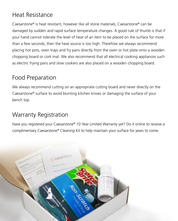### Heat Resistance

Caesarstone® is heat resistant, however like all stone materials; Caesarstone® can be damaged by sudden and rapid surface temperature changes. A good rule of thumb is that if your hand cannot tolerate the level of heat of an item to be placed on the surface for more than a few seconds, then the heat source is too high. Therefore we always recommend placing hot pots, oven trays and fry pans directly from the oven or hot plate onto a wooden chopping board or cork mat. We also recommend that all electrical cooking appliances such as electric frying pans and slow cookers are also placed on a wooden chopping board.

### Food Preparation

We always recommend cutting on an appropriate cutting board and never directly on the Caesarstone® surface to avoid blunting kitchen knives or damaging the surface of your bench top.

#### Warranty Registration

Have you registered your Caesarstone® 10 Year Limited Warranty yet? Do it online to receive a complimentary Caesarstone® Cleaning Kit to help maintain your surface for years to come.

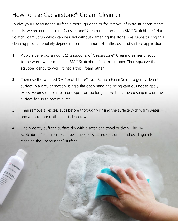### How to use Caesarstone® Cream Cleanser

To give your Caesarstone® surface a thorough clean or for removal of extra stubborn marks or spills, we recommend using Caesarstone® Cream Cleanser and a 3M™ Scotchbrite™ Non-Scratch Foam Scrub which can be used without damaging the stone. We suggest using this cleaning process regularly depending on the amount of traffic, use and surface application.

- Apply a generous amount (2 teaspoons) of Caesarstone® Cream Cleanser directly to the warm water drenched 3M™ Scotchbrite™ foam scrubber. Then squeeze the scrubber gently to work it into a thick foam lather. **1.**
- Then use the lathered 3M™ Scotchbrite™ Non-Scratch Foam Scrub to gently clean the surface in a circular motion using a flat open hand and being cautious not to apply excessive pressure or rub in one spot for too long. Leave the lathered soap mix on the surface for up to two minutes. **2.**
- Then remove all excess suds before thoroughly rinsing the surface with warm water and a microfibre cloth or soft clean towel. **3.**
- Finally gently buff the surface dry with a soft clean towel or cloth. The 3M™ Scotchbrite™ foam scrub can be squeezed & rinsed out, dried and used again for cleaning the Caesarstone® surface. **4.**